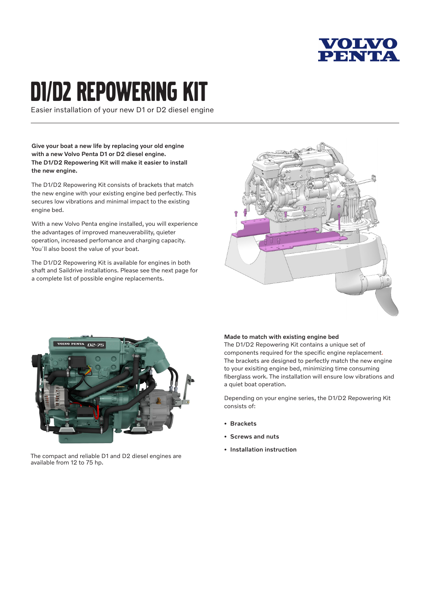

# d1/d2 repowering kit

Easier installation of your new D1 or D2 diesel engine

Give your boat a new life by replacing your old engine with a new Volvo Penta D1 or D2 diesel engine. The D1/D2 Repowering Kit will make it easier to install the new engine.

The D1/D2 Repowering Kit consists of brackets that match the new engine with your existing engine bed perfectly. This secures low vibrations and minimal impact to the existing engine bed.

With a new Volvo Penta engine installed, you will experience the advantages of improved maneuverability, quieter operation, increased perfomance and charging capacity. You'll also boost the value of your boat.

The D1/D2 Repowering Kit is available for engines in both shaft and Saildrive installations. Please see the next page for a complete list of possible engine replacements.





The compact and reliable D1 and D2 diesel engines are available from 12 to 75 hp.

## Made to match with existing engine bed

The D1/D2 Repowering Kit contains a unique set of components required for the specific engine replacement. The brackets are designed to perfectly match the new engine to your exisiting engine bed, minimizing time consuming fiberglass work. The installation will ensure low vibrations and a quiet boat operation.

Depending on your engine series, the D1/D2 Repowering Kit consists of:

- Brackets
- Screws and nuts
- Installation instruction